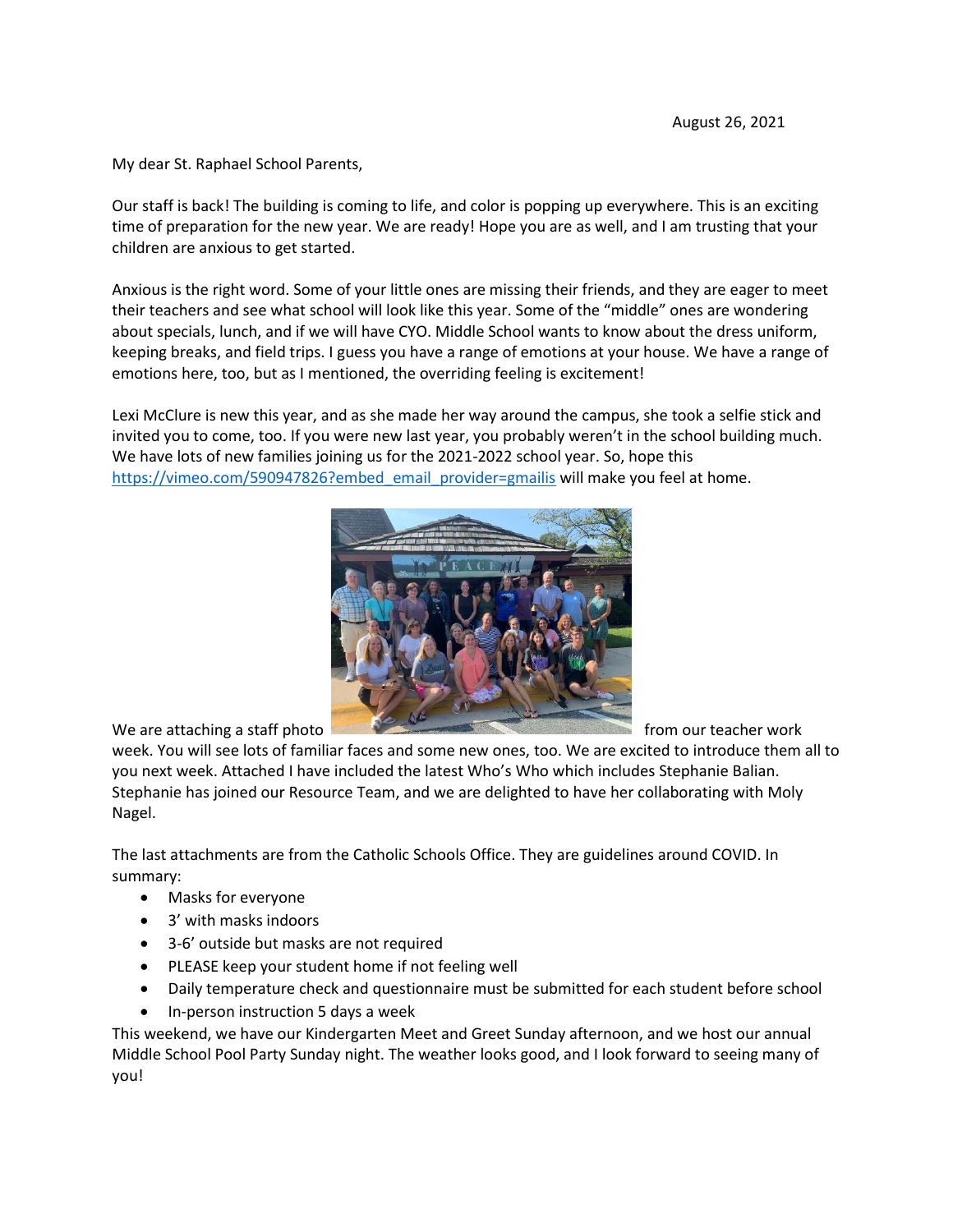My dear St. Raphael School Parents,

Our staff is back! The building is coming to life, and color is popping up everywhere. This is an exciting time of preparation for the new year. We are ready! Hope you are as well, and I am trusting that your children are anxious to get started.

Anxious is the right word. Some of your little ones are missing their friends, and they are eager to meet their teachers and see what school will look like this year. Some of the "middle" ones are wondering about specials, lunch, and if we will have CYO. Middle School wants to know about the dress uniform, keeping breaks, and field trips. I guess you have a range of emotions at your house. We have a range of emotions here, too, but as I mentioned, the overriding feeling is excitement!

Lexi McClure is new this year, and as she made her way around the campus, she took a selfie stick and invited you to come, too. If you were new last year, you probably weren't in the school building much. We have lots of new families joining us for the 2021-2022 school year. So, hope this [https://vimeo.com/590947826?embed\\_email\\_provider=gmailis](https://vimeo.com/590947826?embed_email_provider=gmailis) will make you feel at home.



week. You will see lots of familiar faces and some new ones, too. We are excited to introduce them all to you next week. Attached I have included the latest Who's Who which includes Stephanie Balian. Stephanie has joined our Resource Team, and we are delighted to have her collaborating with Moly Nagel.

The last attachments are from the Catholic Schools Office. They are guidelines around COVID. In summary:

- Masks for everyone
- 3' with masks indoors
- 3-6' outside but masks are not required
- PLEASE keep your student home if not feeling well
- Daily temperature check and questionnaire must be submitted for each student before school
- In-person instruction 5 days a week

This weekend, we have our Kindergarten Meet and Greet Sunday afternoon, and we host our annual Middle School Pool Party Sunday night. The weather looks good, and I look forward to seeing many of you!